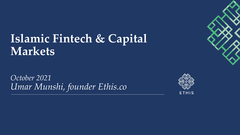## **Islamic Fintech & Capital Markets**

*October 2021 Umar Munshi, founder Ethis.co*



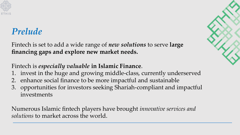

### *Prelude*

Fintech is set to add a wide range of *new solutions* to serve **large financing gaps and explore new market needs.**

### Fintech is *especially valuable* **in Islamic Finance**.

- 1. invest in the huge and growing middle-class, currently underserved
- 2. enhance social finance to be more impactful and sustainable
- 3. opportunities for investors seeking Shariah-compliant and impactful investments

Numerous Islamic fintech players have brought *innovative services and solutions* to market across the world.

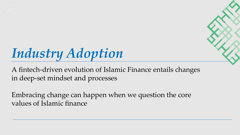

# *Industry Adoption*

A fintech-driven evolution of Islamic Finance entails changes in deep-set mindset and processes

Embracing change can happen when we question the core values of Islamic finance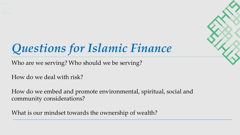

# *Questions for Islamic Finance*

Who are we serving? Who should we be serving?

How do we deal with risk?

How do we embed and promote environmental, spiritual, social and community considerations?

What is our mindset towards the ownership of wealth?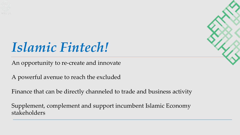

# *Islamic Fintech!*

An opportunity to re-create and innovate

A powerful avenue to reach the excluded

Finance that can be directly channeled to trade and business activity

Supplement, complement and support incumbent Islamic Economy stakeholders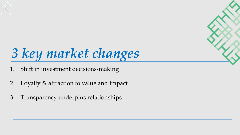

# *3 key market changes*

- 1. Shift in investment decisions-making
- 2. Loyalty & attraction to value and impact
- 3. Transparency underpins relationships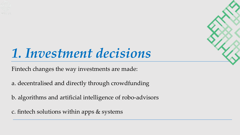

# *1. Investment decisions*

Fintech changes the way investments are made:

a. decentralised and directly through crowdfunding

b. algorithms and artificial intelligence of robo-advisors

c. fintech solutions within apps & systems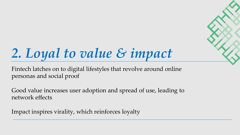# *2. Loyal to value & impact*

Fintech latches on to digital lifestyles that revolve around online personas and social proof

Good value increases user adoption and spread of use, leading to network effects

Impact inspires virality, which reinforces loyalty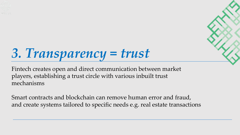

# *3. Transparency = trust*

Fintech creates open and direct communication between market players, establishing a trust circle with various inbuilt trust mechanisms

Smart contracts and blockchain can remove human error and fraud, and create systems tailored to specific needs e.g. real estate transactions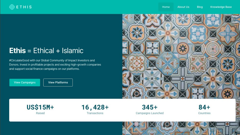

### **Ethis** = Ethical + Islamic

#CirculateGood with our Global Community of Impact Investors and Donors. Invest in profitable projects and exciting high-growth companies and support social finance campaigns on our platforms.

**View Campaigns** 

**View Platforms** 



**US\$15M+** Raised

 $16,428+$ Transactions

 $345+$ Campaigns Launched  $84 +$ Countries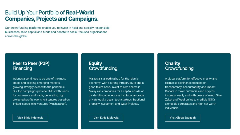### Build Up Your Portfolio of Real-World **Companies, Projects and Campaigns.**

Our crowdfunding platforms enable you to invest in halal and socially responsible businesses, raise capital and funds and donate to social-focused organisations across the globe.

#### Peer to Peer (P2P) Financing

Indonesia continues to be one of the most stable and exciting emerging markets, growing strongly even with the pandemic. Our top campaigns provide SMEs with funds for commerce and trade, generating high projected profits over short tenures based on limited-scope joint-ventures (Musharakah).

**Visit Ethis Indonesia** 

#### **Equity** Crowdfunding

Malaysia is a leading hub for the Islamic economy, with a strong infrastructure and a good talent base. Invest to own shares in Malaysian companies for a capital upside or dividend income. Access institutional-grade private equity deals, tech startups, fractional property investment and Waqf Projects.

**Visit Ethis Malaysia** 

#### Charity Crowdfunding

A global platform for effective charity and Islamic social finance focused on transparency, accountability and impact. Donate in major currencies and cryptos instantly, easily and with peace of mind. Give Zakat and Waqf online to credible NGOs alongside corporates and high net worth individuals.

**Visit GlobalSadagah**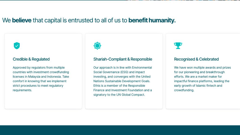### We believe that capital is entrusted to all of us to benefit humanity.

#### **Credible & Regulated**

Approved by regulators from multiple countries with investment crowdfunding licenses in Malaysia and Indonesia. Take comfort in knowing that we implement strict procedures to meet regulatory requirements.



#### Shariah-Compliant & Responsible

Our approach is in line with Environmental Social Governance (ESG) and impact investing, and converges with the United Nations Sustainable Development Goals. Ethis is a member of the Responsible Finance and Investment Foundation and a signatory to the UN Global Compact.



#### Recognised & Celebrated

We have won multiple awards and prizes for our pioneering and breakthrough efforts. We are a market maker for impactful finance platforms, leading the early growth of Islamic fintech and crowdfunding.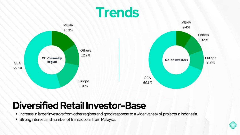



### **Diversified Retail Investor-Base**

- Increase in larger investors from other regions and good response to a wider variety of projects in Indonesia.
- Strong interest and number of transactions from Malaysia.

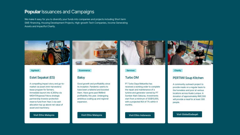#### **Popular Issuances and Campaigns**

We make it easy for you to diversify your funds into companies and projects including Short term SME-financing, Housing Development Projects, High-growth Tech Companies, Income Generating Assets and Impactful Charity.



#### Agritech

#### **Estet Sepakat (ES)**

A compelling impact story and go-tomarket via asset (mini-harvesters) lease program for farmers. Immediate launch into 4,300ha via MIGHT/Koperasi Felcra strategic partnership Investor protection reserve fund from Year 2 via cash allocation top up above net value of asset and machinery.

#### **Visit Ethis Malaysia**



#### **Ecommerce**

#### **Baloy**

Good growth and profitability since its inception. Pandemic seems to have been a tailwind and boosted them. Have gone past RM8mil profitability this year. Undergoing ambitious scaling up and regional expansion.

**Visit Ethis Malaysia** 



#### **Services**

#### **Turbo DM**

PT Turbo Daya Mekanika has received a working order to complete the repair and maintenance of a turbine and generator owned by PT Sumber Alam Sekurau, Investments start from a minimum of SG\$10,000, with a projected ROI of 7% within 4 months.

#### Visit Ethis Indonesia

### **PERTIWI Soup Kitchen**

Charity

A community outreach project to provide meals on a regular basis to the homeless and poor at various locations across Kuala Lumpur. A donation of approximately RM1,500 will provide a meal for at least 300 people.

#### Visit GlobalSadaqah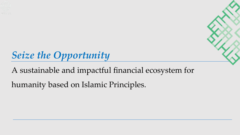

## *Seize the Opportunity*

A sustainable and impactful financial ecosystem for

humanity based on Islamic Principles.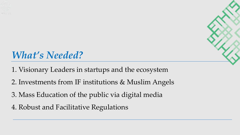

## *What's Needed?*

- 1. Visionary Leaders in startups and the ecosystem
- 2. Investments from IF institutions & Muslim Angels
- 3. Mass Education of the public via digital media
- 4. Robust and Facilitative Regulations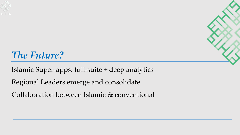

### *The Future?*

Islamic Super-apps: full-suite + deep analytics Regional Leaders emerge and consolidate

Collaboration between Islamic & conventional